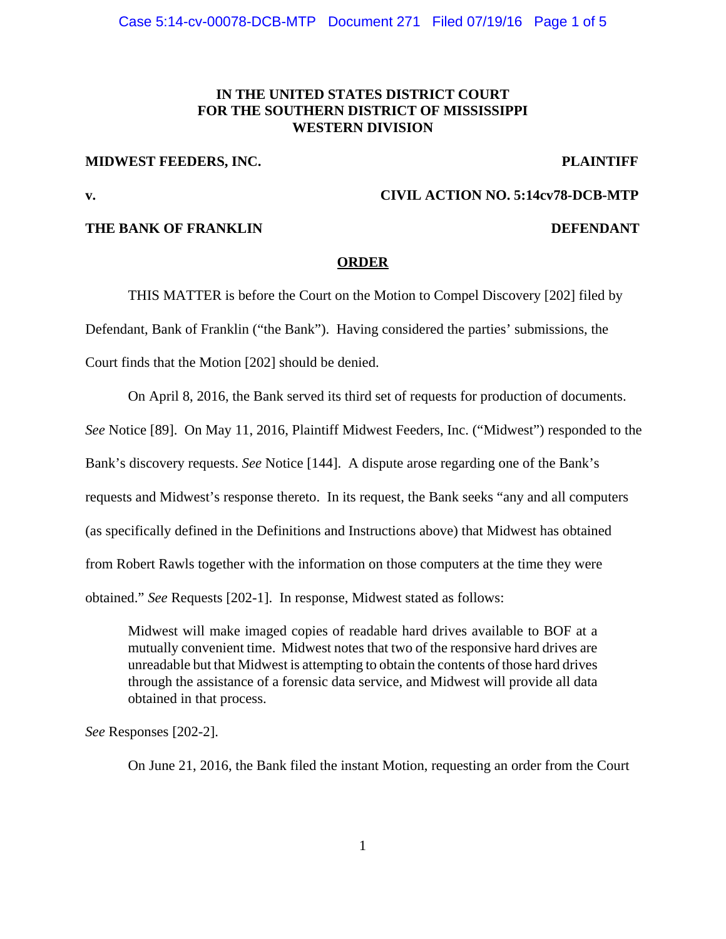# **IN THE UNITED STATES DISTRICT COURT FOR THE SOUTHERN DISTRICT OF MISSISSIPPI WESTERN DIVISION**

### **MIDWEST FEEDERS, INC.** PLAINTIFF

## **v. CIVIL ACTION NO. 5:14cv78-DCB-MTP**

# **THE BANK OF FRANKLIN** DEFENDANT

### **ORDER**

THIS MATTER is before the Court on the Motion to Compel Discovery [202] filed by Defendant, Bank of Franklin ("the Bank"). Having considered the parties' submissions, the Court finds that the Motion [202] should be denied.

On April 8, 2016, the Bank served its third set of requests for production of documents.

*See* Notice [89]. On May 11, 2016, Plaintiff Midwest Feeders, Inc. ("Midwest") responded to the

Bank's discovery requests. *See* Notice [144]. A dispute arose regarding one of the Bank's

requests and Midwest's response thereto. In its request, the Bank seeks "any and all computers

(as specifically defined in the Definitions and Instructions above) that Midwest has obtained

from Robert Rawls together with the information on those computers at the time they were

obtained." *See* Requests [202-1]. In response, Midwest stated as follows:

Midwest will make imaged copies of readable hard drives available to BOF at a mutually convenient time. Midwest notes that two of the responsive hard drives are unreadable but that Midwest is attempting to obtain the contents of those hard drives through the assistance of a forensic data service, and Midwest will provide all data obtained in that process.

*See* Responses [202-2].

On June 21, 2016, the Bank filed the instant Motion, requesting an order from the Court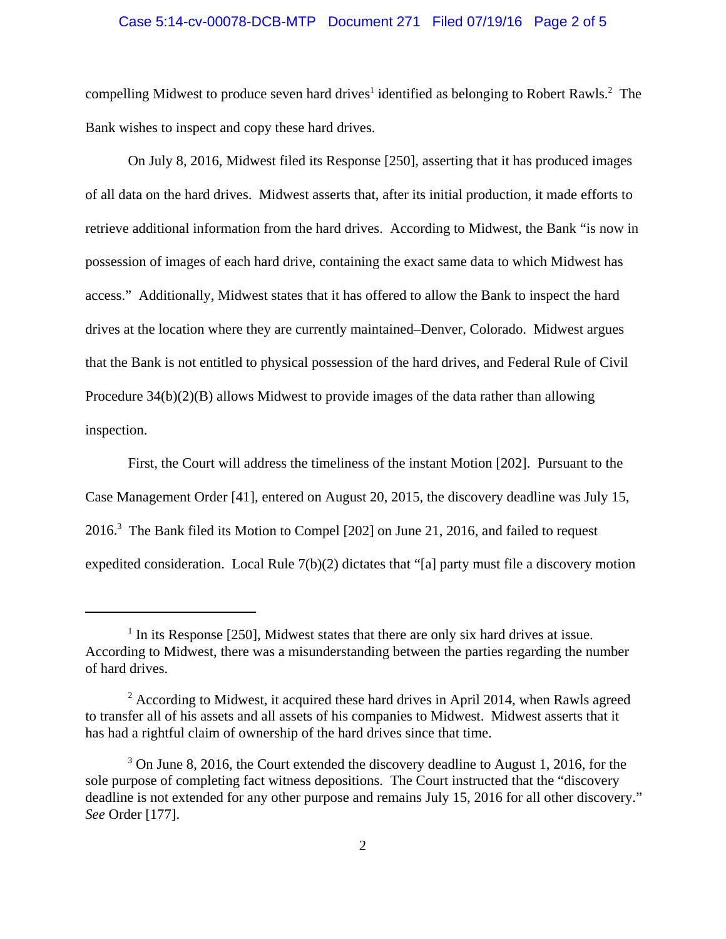## Case 5:14-cv-00078-DCB-MTP Document 271 Filed 07/19/16 Page 2 of 5

compelling Midwest to produce seven hard drives<sup>1</sup> identified as belonging to Robert Rawls.<sup>2</sup> The Bank wishes to inspect and copy these hard drives.

On July 8, 2016, Midwest filed its Response [250], asserting that it has produced images of all data on the hard drives. Midwest asserts that, after its initial production, it made efforts to retrieve additional information from the hard drives. According to Midwest, the Bank "is now in possession of images of each hard drive, containing the exact same data to which Midwest has access." Additionally, Midwest states that it has offered to allow the Bank to inspect the hard drives at the location where they are currently maintained–Denver, Colorado. Midwest argues that the Bank is not entitled to physical possession of the hard drives, and Federal Rule of Civil Procedure 34(b)(2)(B) allows Midwest to provide images of the data rather than allowing inspection.

First, the Court will address the timeliness of the instant Motion [202]. Pursuant to the Case Management Order [41], entered on August 20, 2015, the discovery deadline was July 15, 2016.<sup>3</sup> The Bank filed its Motion to Compel [202] on June 21, 2016, and failed to request expedited consideration. Local Rule 7(b)(2) dictates that "[a] party must file a discovery motion

 $<sup>1</sup>$  In its Response [250], Midwest states that there are only six hard drives at issue.</sup> According to Midwest, there was a misunderstanding between the parties regarding the number of hard drives.

 $2$  According to Midwest, it acquired these hard drives in April 2014, when Rawls agreed to transfer all of his assets and all assets of his companies to Midwest. Midwest asserts that it has had a rightful claim of ownership of the hard drives since that time.

 $3$  On June 8, 2016, the Court extended the discovery deadline to August 1, 2016, for the sole purpose of completing fact witness depositions. The Court instructed that the "discovery deadline is not extended for any other purpose and remains July 15, 2016 for all other discovery." *See* Order [177].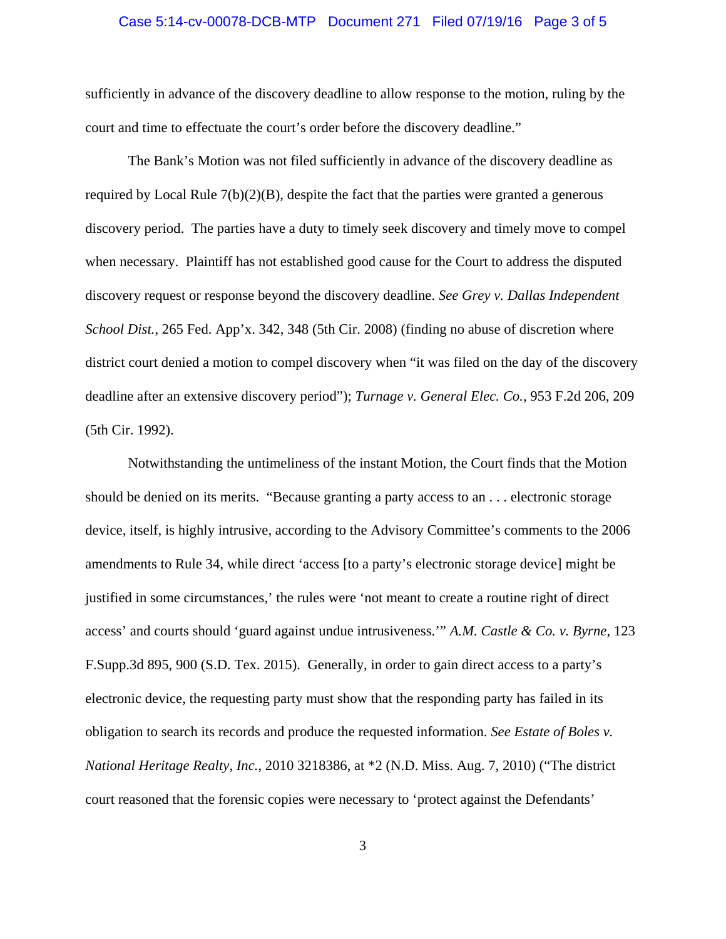## Case 5:14-cv-00078-DCB-MTP Document 271 Filed 07/19/16 Page 3 of 5

sufficiently in advance of the discovery deadline to allow response to the motion, ruling by the court and time to effectuate the court's order before the discovery deadline."

The Bank's Motion was not filed sufficiently in advance of the discovery deadline as required by Local Rule 7(b)(2)(B), despite the fact that the parties were granted a generous discovery period. The parties have a duty to timely seek discovery and timely move to compel when necessary. Plaintiff has not established good cause for the Court to address the disputed discovery request or response beyond the discovery deadline. *See Grey v. Dallas Independent School Dist.*, 265 Fed. App'x. 342, 348 (5th Cir. 2008) (finding no abuse of discretion where district court denied a motion to compel discovery when "it was filed on the day of the discovery deadline after an extensive discovery period"); *Turnage v. General Elec. Co.*, 953 F.2d 206, 209 (5th Cir. 1992).

Notwithstanding the untimeliness of the instant Motion, the Court finds that the Motion should be denied on its merits. "Because granting a party access to an . . . electronic storage device, itself, is highly intrusive, according to the Advisory Committee's comments to the 2006 amendments to Rule 34, while direct 'access [to a party's electronic storage device] might be justified in some circumstances,' the rules were 'not meant to create a routine right of direct access' and courts should 'guard against undue intrusiveness.'" *A.M. Castle & Co. v. Byrne*, 123 F.Supp.3d 895, 900 (S.D. Tex. 2015). Generally, in order to gain direct access to a party's electronic device, the requesting party must show that the responding party has failed in its obligation to search its records and produce the requested information. *See Estate of Boles v. National Heritage Realty, Inc.*, 2010 3218386, at \*2 (N.D. Miss. Aug. 7, 2010) ("The district court reasoned that the forensic copies were necessary to 'protect against the Defendants'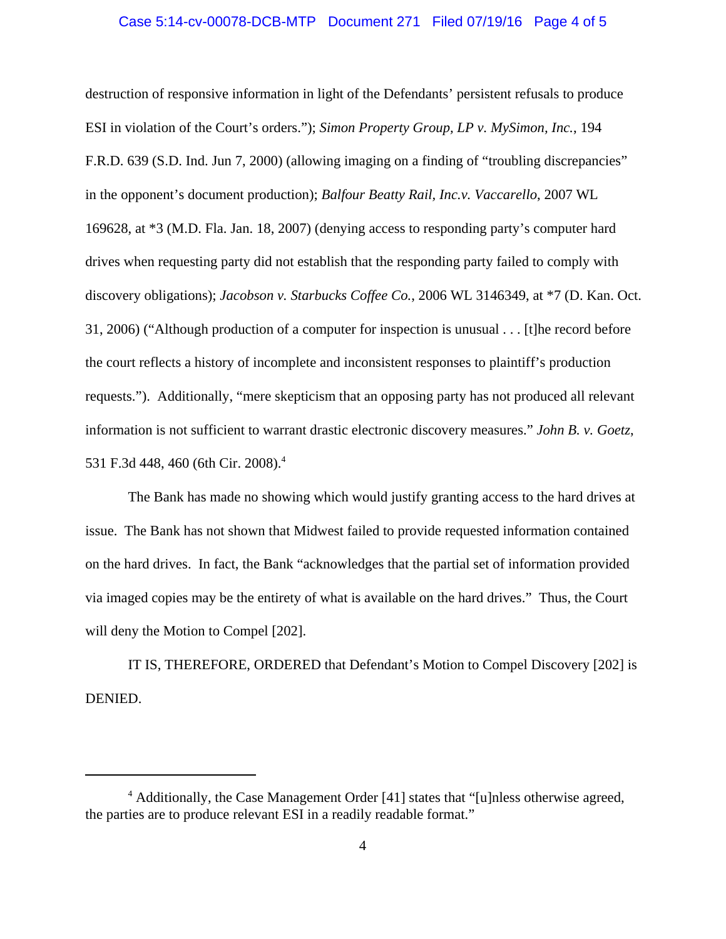## Case 5:14-cv-00078-DCB-MTP Document 271 Filed 07/19/16 Page 4 of 5

destruction of responsive information in light of the Defendants' persistent refusals to produce ESI in violation of the Court's orders."); *Simon Property Group, LP v. MySimon, Inc.*, 194 F.R.D. 639 (S.D. Ind. Jun 7, 2000) (allowing imaging on a finding of "troubling discrepancies" in the opponent's document production); *Balfour Beatty Rail, Inc.v. Vaccarello*, 2007 WL 169628, at \*3 (M.D. Fla. Jan. 18, 2007) (denying access to responding party's computer hard drives when requesting party did not establish that the responding party failed to comply with discovery obligations); *Jacobson v. Starbucks Coffee Co.*, 2006 WL 3146349, at \*7 (D. Kan. Oct. 31, 2006) ("Although production of a computer for inspection is unusual . . . [t]he record before the court reflects a history of incomplete and inconsistent responses to plaintiff's production requests."). Additionally, "mere skepticism that an opposing party has not produced all relevant information is not sufficient to warrant drastic electronic discovery measures." *John B. v. Goetz*, 531 F.3d 448, 460 (6th Cir. 2008).<sup>4</sup>

The Bank has made no showing which would justify granting access to the hard drives at issue. The Bank has not shown that Midwest failed to provide requested information contained on the hard drives. In fact, the Bank "acknowledges that the partial set of information provided via imaged copies may be the entirety of what is available on the hard drives." Thus, the Court will deny the Motion to Compel [202].

IT IS, THEREFORE, ORDERED that Defendant's Motion to Compel Discovery [202] is DENIED.

<sup>&</sup>lt;sup>4</sup> Additionally, the Case Management Order [41] states that "[u]nless otherwise agreed, the parties are to produce relevant ESI in a readily readable format."